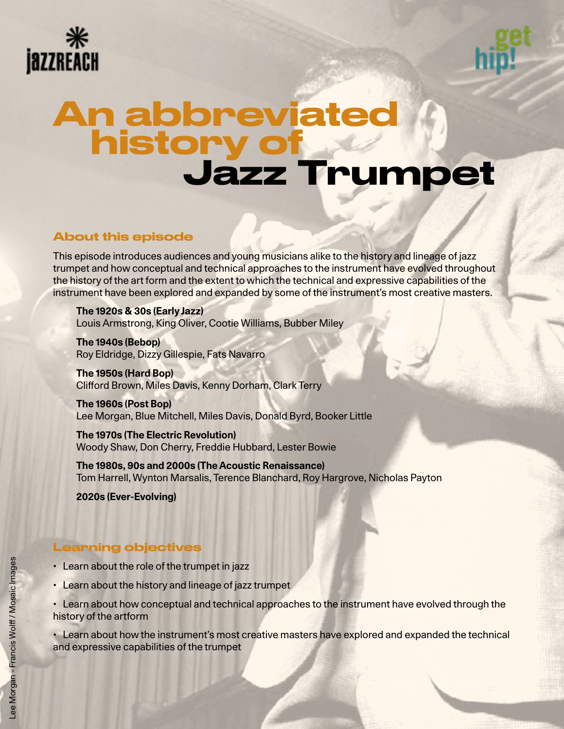



# Jazz Trumpet An abbreviated history of

# About this episode

This episode introduces audiences and young musicians alike to the history and lineage of jazz trumpet and how conceptual and technical approaches to the instrument have evolved throughout the history of the art form and the extent to which the technical and expressive capabilities of the instrument have been explored and expanded by some of the instrument's most creative masters.

**The 1920s & 30s (Early Jazz)** Louis Armstrong, King Oliver, Cootie Williams, Bubber Miley

**The 1940s (Bebop)** Roy Eldridge, Dizzy Gillespie, Fats Navarro

**The 1950s (Hard Bop)** Clifford Brown, Miles Davis, Kenny Dorham, Clark Terry

**The 1960s (Post Bop)** Lee Morgan, Blue Mitchell, Miles Davis, Donald Byrd, Booker Little

**The 1970s (The Electric Revolution)** Woody Shaw, Don Cherry, Freddie Hubbard, Lester Bowie

**The 1980s, 90s and 2000s (The Acoustic Renaissance)** Tom Harrell, Wynton Marsalis, Terence Blanchard, Roy Hargrove, Nicholas Payton

**2020s (Ever-Evolving)**

# Learning objectives

- Learn about the role of the trumpet in jazz
- Learn about the history and lineage of jazz trumpet
- Learn about how conceptual and technical approaches to the instrument have evolved through the history of the artform

• Learn about how the instrument's most creative masters have explored and expanded the technical and expressive capabilities of the trumpet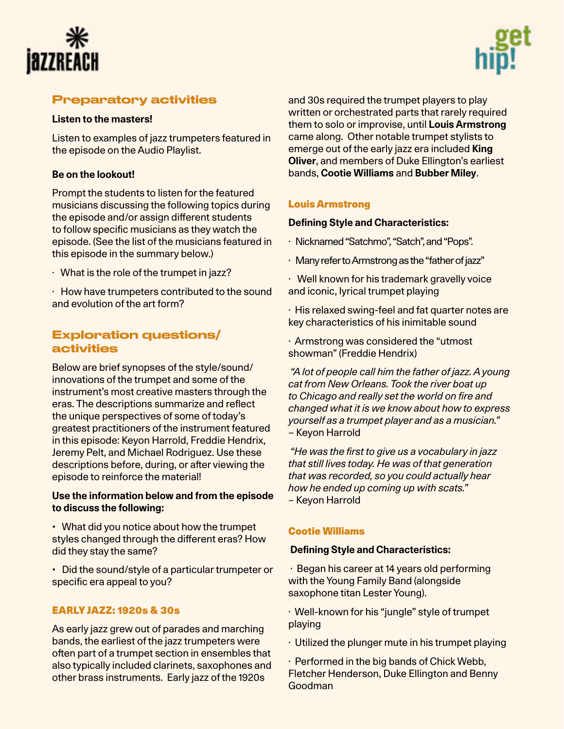



# Preparatory activities

# **Listen to the masters!**

Listen to examples of jazz trumpeters featured in the episode on the Audio Playlist.

# **Be on the lookout!**

Prompt the students to listen for the featured musicians discussing the following topics during the episode and/or assign different students to follow specific musicians as they watch the episode. (See the list of the musicians featured in this episode in the summary below.)

· What is the role of the trumpet in jazz?

· How have trumpeters contributed to the sound and evolution of the art form?

# Exploration questions/ activities

Below are brief synopses of the style/sound/ innovations of the trumpet and some of the instrument's most creative masters through the eras. The descriptions summarize and reflect the unique perspectives of some of today's greatest practitioners of the instrument featured in this episode: Keyon Harrold, Freddie Hendrix, Jeremy Pelt, and Michael Rodriguez. Use these descriptions before, during, or after viewing the episode to reinforce the material!

# **Use the information below and from the episode to discuss the following:**

• What did you notice about how the trumpet styles changed through the different eras? How did they stay the same?

• Did the sound/style of a particular trumpeter or specific era appeal to you?

# EARLY JAZZ: 1920s & 30s

As early jazz grew out of parades and marching bands, the earliest of the jazz trumpeters were often part of a trumpet section in ensembles that also typically included clarinets, saxophones and other brass instruments. Early jazz of the 1920s

and 30s required the trumpet players to play written or orchestrated parts that rarely required them to solo or improvise, until **Louis Armstrong**  came along. Other notable trumpet stylists to emerge out of the early jazz era included **King Oliver**, and members of Duke Ellington's earliest bands, **Cootie Williams** and **Bubber Miley**.

# [Louis Armstrong](https://en.wikipedia.org/wiki/Louis_Armstrong)

### **Defining Style and Characteristics:**

- · Nicknamed "Satchmo", "Satch", and "Pops".
- · Many refer to Armstrong as the "father of jazz"
- · Well known for his trademark gravelly voice and iconic, lyrical trumpet playing
- · His relaxed swing-feel and fat quarter notes are key characteristics of his inimitable sound

· Armstrong was considered the "utmost showman" (Freddie Hendrix)

*"A lot of people call him the father of jazz. A young cat from New Orleans. Took the river boat up to Chicago and really set the world on fire and changed what it is we know about how to express yourself as a trumpet player and as a musician."* – Keyon Harrold

*"He was the first to give us a vocabulary in jazz that still lives today. He was of that generation that was recorded, so you could actually hear how he ended up coming up with scats."*  – Keyon Harrold

# [Cootie Williams](http://Cootie Williams )

#### **Defining Style and Characteristics:**

· Began his career at 14 years old performing with the Young Family Band (alongside saxophone titan Lester Young).

· Well-known for his "jungle" style of trumpet playing

· Utilized the plunger mute in his trumpet playing

· Performed in the big bands of Chick Webb, Fletcher Henderson, Duke Ellington and Benny Goodman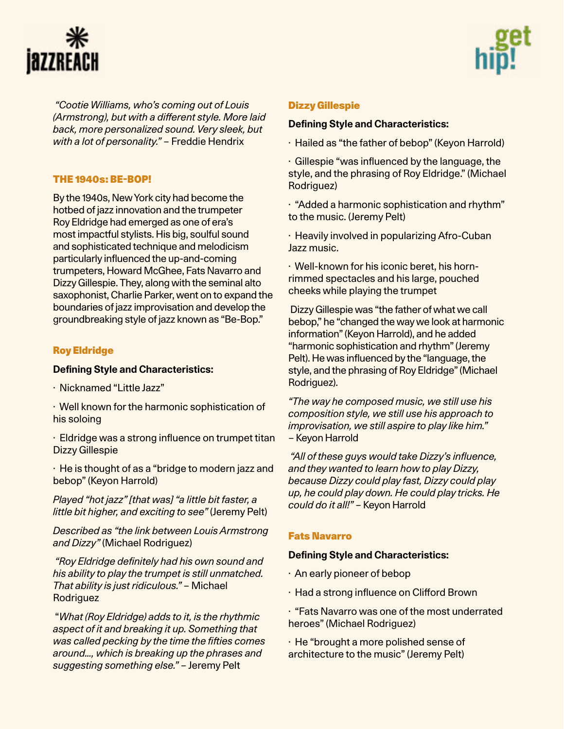



*"Cootie Williams, who's coming out of Louis (Armstrong), but with a different style. More laid back, more personalized sound. Very sleek, but with a lot of personality."* – Freddie Hendrix

# THE 1940s: BE-BOP!

By the 1940s, New York city had become the hotbed of jazz innovation and the trumpeter Roy Eldridge had emerged as one of era's most impactful stylists. His big, soulful sound and sophisticated technique and melodicism particularly influenced the up-and-coming trumpeters, Howard McGhee, Fats Navarro and Dizzy Gillespie. They, along with the seminal alto saxophonist, Charlie Parker, went on to expand the boundaries of jazz improvisation and develop the groundbreaking style of jazz known as "Be-Bop."

# [Roy Eldridge](https://en.wikipedia.org/wiki/Roy_Eldridge)

# **Defining Style and Characteristics:**

· Nicknamed "Little Jazz"

· Well known for the harmonic sophistication of his soloing

· Eldridge was a strong influence on trumpet titan Dizzy Gillespie

· He is thought of as a "bridge to modern jazz and bebop" (Keyon Harrold)

*Played "hot jazz" [that was] "a little bit faster, a little bit higher, and exciting to see"* (Jeremy Pelt)

*Described as "the link between Louis Armstrong and Dizzy"* (Michael Rodriguez)

 *"Roy Eldridge definitely had his own sound and his ability to play the trumpet is still unmatched. That ability is just ridiculous."* – Michael **Rodriguez** 

 "*What (Roy Eldridge) adds to it, is the rhythmic aspect of it and breaking it up. Something that was called pecking by the time the fifties comes around…, which is breaking up the phrases and suggesting something else."* – Jeremy Pelt

#### [Dizzy Gillespie](https://en.wikipedia.org/wiki/Dizzy_Gillespie)

#### **Defining Style and Characteristics:**

- · Hailed as "the father of bebop" (Keyon Harrold)
- · Gillespie "was influenced by the language, the style, and the phrasing of Roy Eldridge." (Michael Rodriguez)
- · "Added a harmonic sophistication and rhythm" to the music. (Jeremy Pelt)
- · Heavily involved in popularizing Afro-Cuban Jazz music.

· Well-known for his iconic beret, his hornrimmed spectacles and his large, pouched cheeks while playing the trumpet

Dizzy Gillespie was "the father of what we call bebop," he "changed the way we look at harmonic information" (Keyon Harrold), and he added "harmonic sophistication and rhythm" (Jeremy Pelt). He was influenced by the "language, the style, and the phrasing of Roy Eldridge" (Michael Rodriguez).

*"The way he composed music, we still use his composition style, we still use his approach to improvisation, we still aspire to play like him."*  – Keyon Harrold

*"All of these guys would take Dizzy's influence, and they wanted to learn how to play Dizzy, because Dizzy could play fast, Dizzy could play up, he could play down. He could play tricks. He could do it all!"* – Keyon Harrold

#### [Fats Navarro](https://en.wikipedia.org/wiki/Fats_Navarro)

#### **Defining Style and Characteristics:**

- · An early pioneer of bebop
- · Had a strong influence on Clifford Brown
- · "Fats Navarro was one of the most underrated heroes" (Michael Rodriguez)

· He "brought a more polished sense of architecture to the music" (Jeremy Pelt)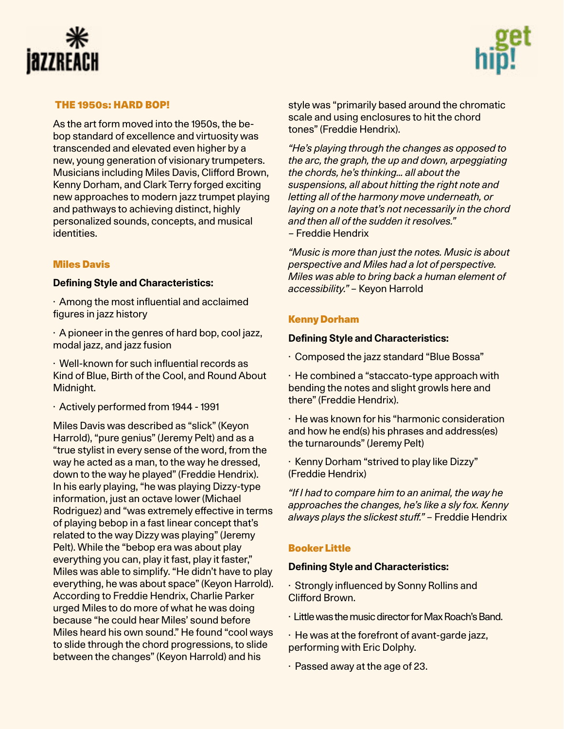



### THE 1950s: HARD BOP!

As the art form moved into the 1950s, the bebop standard of excellence and virtuosity was transcended and elevated even higher by a new, young generation of visionary trumpeters. Musicians including Miles Davis, Clifford Brown, Kenny Dorham, and Clark Terry forged exciting new approaches to modern jazz trumpet playing and pathways to achieving distinct, highly personalized sounds, concepts, and musical identities.

# [Miles Davis](https://en.wikipedia.org/wiki/Miles_Davis)

#### **Defining Style and Characteristics:**

· Among the most influential and acclaimed figures in jazz history

· A pioneer in the genres of hard bop, cool jazz, modal jazz, and jazz fusion

· Well-known for such influential records as Kind of Blue, Birth of the Cool, and Round About Midnight.

· Actively performed from 1944 - 1991

Miles Davis was described as "slick" (Keyon Harrold), "pure genius" (Jeremy Pelt) and as a "true stylist in every sense of the word, from the way he acted as a man, to the way he dressed, down to the way he played" (Freddie Hendrix). In his early playing, "he was playing Dizzy-type information, just an octave lower (Michael Rodriguez) and "was extremely effective in terms of playing bebop in a fast linear concept that's related to the way Dizzy was playing" (Jeremy Pelt). While the "bebop era was about play everything you can, play it fast, play it faster," Miles was able to simplify. "He didn't have to play everything, he was about space" (Keyon Harrold). According to Freddie Hendrix, Charlie Parker urged Miles to do more of what he was doing because "he could hear Miles' sound before Miles heard his own sound." He found "cool ways to slide through the chord progressions, to slide between the changes" (Keyon Harrold) and his

style was "primarily based around the chromatic scale and using enclosures to hit the chord tones" (Freddie Hendrix).

*"He's playing through the changes as opposed to the arc, the graph, the up and down, arpeggiating the chords, he's thinking… all about the suspensions, all about hitting the right note and letting all of the harmony move underneath, or laying on a note that's not necessarily in the chord and then all of the sudden it resolves." –* Freddie Hendrix

*"Music is more than just the notes. Music is about perspective and Miles had a lot of perspective. Miles was able to bring back a human element of accessibility."* – Keyon Harrold

#### [Kenny Dorham](https://en.wikipedia.org/wiki/Kenny_Dorham)

#### **Defining Style and Characteristics:**

· Composed the jazz standard "Blue Bossa"

· He combined a "staccato-type approach with bending the notes and slight growls here and there" (Freddie Hendrix).

· He was known for his "harmonic consideration and how he end(s) his phrases and address(es) the turnarounds" (Jeremy Pelt)

· Kenny Dorham "strived to play like Dizzy" (Freddie Hendrix)

*"If I had to compare him to an animal, the way he approaches the changes, he's like a sly fox. Kenny always plays the slickest stuff."* – Freddie Hendrix

#### [Booker Little](https://en.wikipedia.org/wiki/Booker_Little)

#### **Defining Style and Characteristics:**

· Strongly influenced by Sonny Rollins and Clifford Brown.

- · Little was the music director for Max Roach's Band.
- · He was at the forefront of avant-garde jazz, performing with Eric Dolphy.
- · Passed away at the age of 23.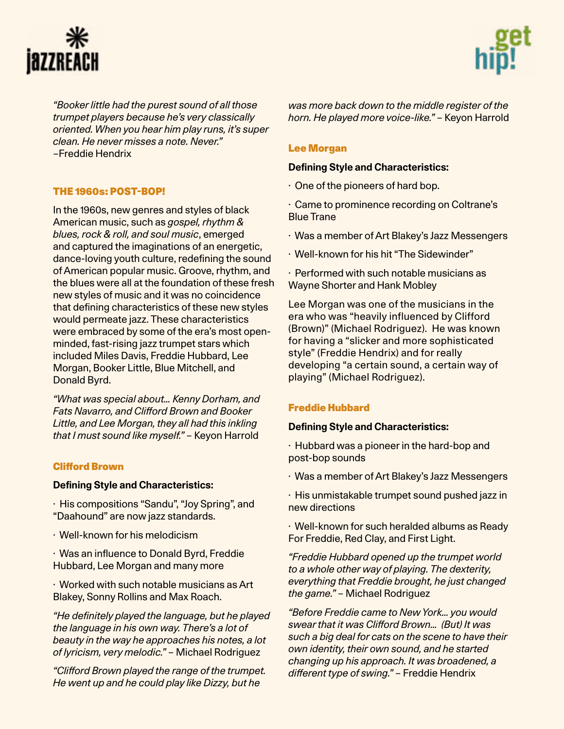



*"Booker little had the purest sound of all those trumpet players because he's very classically oriented. When you hear him play runs, it's super clean. He never misses a note. Never."* –Freddie Hendrix

# THE 1960s: POST-BOP!

In the 1960s, new genres and styles of black American music, such as *gospel, rhythm & blues, rock & roll, and soul music*, emerged and captured the imaginations of an energetic, dance-loving youth culture, redefining the sound of American popular music. Groove, rhythm, and the blues were all at the foundation of these fresh new styles of music and it was no coincidence that defining characteristics of these new styles would permeate jazz. These characteristics were embraced by some of the era's most openminded, fast-rising jazz trumpet stars which included Miles Davis, Freddie Hubbard, Lee Morgan, Booker Little, Blue Mitchell, and Donald Byrd.

*"What was special about… Kenny Dorham, and Fats Navarro, and Clifford Brown and Booker Little, and Lee Morgan, they all had this inkling that I must sound like myself."* – Keyon Harrold

# [Clifford Brown](https://en.wikipedia.org/wiki/Clifford_Brown)

#### **Defining Style and Characteristics:**

· His compositions "Sandu", "Joy Spring", and "Daahound" are now jazz standards.

- · Well-known for his melodicism
- · Was an influence to Donald Byrd, Freddie Hubbard, Lee Morgan and many more
- · Worked with such notable musicians as Art Blakey, Sonny Rollins and Max Roach.

*"He definitely played the language, but he played the language in his own way. There's a lot of beauty in the way he approaches his notes, a lot of lyricism, very melodic."* – Michael Rodriguez

*"Clifford Brown played the range of the trumpet. He went up and he could play like Dizzy, but he* 

*was more back down to the middle register of the horn. He played more voice-like."* – Keyon Harrold

# [Lee Morgan](https://en.wikipedia.org/wiki/Lee_Morgan)

#### **Defining Style and Characteristics:**

- · One of the pioneers of hard bop.
- · Came to prominence recording on Coltrane's Blue Trane
- · Was a member of Art Blakey's Jazz Messengers
- · Well-known for his hit "The Sidewinder"
- · Performed with such notable musicians as Wayne Shorter and Hank Mobley

Lee Morgan was one of the musicians in the era who was "heavily influenced by Clifford (Brown)" (Michael Rodriguez). He was known for having a "slicker and more sophisticated style" (Freddie Hendrix) and for really developing "a certain sound, a certain way of playing" (Michael Rodriguez).

# [Freddie Hubbard](https://en.wikipedia.org/wiki/Freddie_Hubbard)

#### **Defining Style and Characteristics:**

- · Hubbard was a pioneer in the hard-bop and post-bop sounds
- · Was a member of Art Blakey's Jazz Messengers
- · His unmistakable trumpet sound pushed jazz in new directions
- · Well-known for such heralded albums as Ready For Freddie, Red Clay, and First Light.

*"Freddie Hubbard opened up the trumpet world to a whole other way of playing. The dexterity, everything that Freddie brought, he just changed the game."* – Michael Rodriguez

*"Before Freddie came to New York… you would swear that it was Clifford Brown… (But) It was such a big deal for cats on the scene to have their own identity, their own sound, and he started changing up his approach. It was broadened, a different type of swing."* – Freddie Hendrix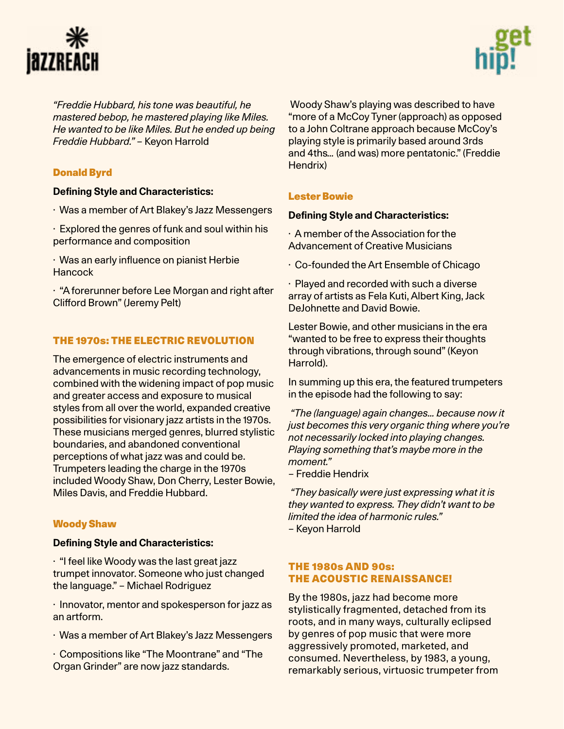



*"Freddie Hubbard, his tone was beautiful, he mastered bebop, he mastered playing like Miles. He wanted to be like Miles. But he ended up being Freddie Hubbard."* – Keyon Harrold

# [Donald Byrd](https://en.wikipedia.org/wiki/Donald_Byrd)

# **Defining Style and Characteristics:**

- · Was a member of Art Blakey's Jazz Messengers
- · Explored the genres of funk and soul within his performance and composition
- · Was an early influence on pianist Herbie **Hancock**

· "A forerunner before Lee Morgan and right after Clifford Brown" (Jeremy Pelt)

# THE 1970s: THE ELECTRIC REVOLUTION

The emergence of electric instruments and advancements in music recording technology, combined with the widening impact of pop music and greater access and exposure to musical styles from all over the world, expanded creative possibilities for visionary jazz artists in the 1970s. These musicians merged genres, blurred stylistic boundaries, and abandoned conventional perceptions of what jazz was and could be. Trumpeters leading the charge in the 1970s included Woody Shaw, Don Cherry, Lester Bowie, Miles Davis, and Freddie Hubbard.

# [Woody Shaw](https://en.wikipedia.org/wiki/Woody_Shaw)

#### **Defining Style and Characteristics:**

· "I feel like Woody was the last great jazz trumpet innovator. Someone who just changed the language." – Michael Rodriguez

· Innovator, mentor and spokesperson for jazz as an artform.

· Was a member of Art Blakey's Jazz Messengers

· Compositions like "The Moontrane" and "The Organ Grinder" are now jazz standards.

 Woody Shaw's playing was described to have "more of a McCoy Tyner (approach) as opposed to a John Coltrane approach because McCoy's playing style is primarily based around 3rds and 4ths*…* (and was) more pentatonic." (Freddie Hendrix)

# [Lester Bowie](https://en.wikipedia.org/wiki/Lester_Bowie)

# **Defining Style and Characteristics:**

· A member of the Association for the Advancement of Creative Musicians

· Co-founded the Art Ensemble of Chicago

· Played and recorded with such a diverse array of artists as Fela Kuti, Albert King, Jack DeJohnette and David Bowie.

Lester Bowie, and other musicians in the era "wanted to be free to express their thoughts through vibrations, through sound" (Keyon Harrold).

In summing up this era, the featured trumpeters in the episode had the following to say:

 *"The (language) again changes… because now it just becomes this very organic thing where you're not necessarily locked into playing changes. Playing something that's maybe more in the moment."* 

*–* Freddie Hendrix

 *"They basically were just expressing what it is they wanted to express. They didn't want to be limited the idea of harmonic rules." –* Keyon Harrold

# THE 1980s AND 90s: THE ACOUSTIC RENAISSANCE!

By the 1980s, jazz had become more stylistically fragmented, detached from its roots, and in many ways, culturally eclipsed by genres of pop music that were more aggressively promoted, marketed, and consumed. Nevertheless, by 1983, a young, remarkably serious, virtuosic trumpeter from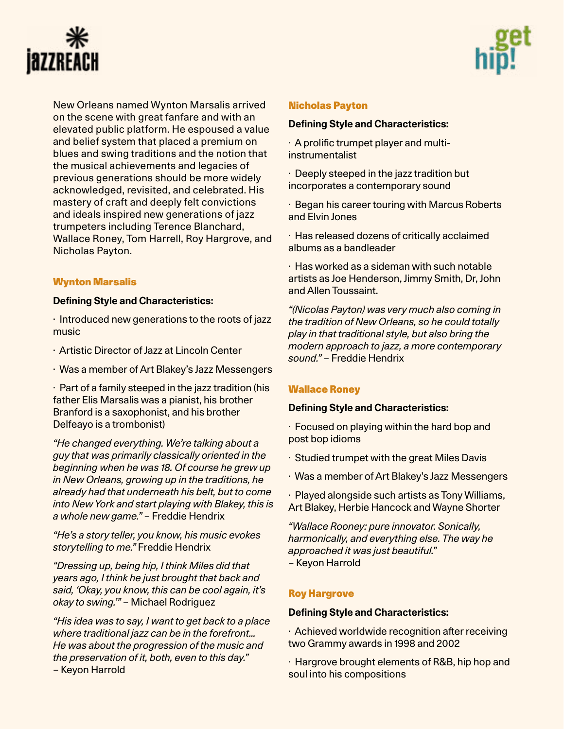



New Orleans named Wynton Marsalis arrived on the scene with great fanfare and with an elevated public platform. He espoused a value and belief system that placed a premium on blues and swing traditions and the notion that the musical achievements and legacies of previous generations should be more widely acknowledged, revisited, and celebrated. His mastery of craft and deeply felt convictions and ideals inspired new generations of jazz trumpeters including Terence Blanchard, Wallace Roney, Tom Harrell, Roy Hargrove, and Nicholas Payton.

# [Wynton Marsalis](https://en.wikipedia.org/wiki/Wynton_Marsalis)

#### **Defining Style and Characteristics:**

· Introduced new generations to the roots of jazz music

- · Artistic Director of Jazz at Lincoln Center
- · Was a member of Art Blakey's Jazz Messengers

· Part of a family steeped in the jazz tradition (his father Elis Marsalis was a pianist, his brother Branford is a saxophonist, and his brother Delfeayo is a trombonist)

*"He changed everything. We're talking about a guy that was primarily classically oriented in the beginning when he was 18. Of course he grew up in New Orleans, growing up in the traditions, he already had that underneath his belt, but to come into New York and start playing with Blakey, this is a whole new game."* – Freddie Hendrix

*"He's a story teller, you know, his music evokes storytelling to me."* Freddie Hendrix

*"Dressing up, being hip, I think Miles did that years ago, I think he just brought that back and said, 'Okay, you know, this can be cool again, it's okay to swing.'"* – Michael Rodriguez

*"His idea was to say, I want to get back to a place where traditional jazz can be in the forefront… He was about the progression of the music and the preservation of it, both, even to this day."*  – Keyon Harrold

### [Nicholas Payton](https://en.wikipedia.org/wiki/Nicholas_Payton)

#### **Defining Style and Characteristics:**

· A prolific trumpet player and multiinstrumentalist

· Deeply steeped in the jazz tradition but incorporates a contemporary sound

· Began his career touring with Marcus Roberts and Elvin Jones

· Has released dozens of critically acclaimed albums as a bandleader

· Has worked as a sideman with such notable artists as Joe Henderson, Jimmy Smith, Dr, John and Allen Toussaint.

*"(Nicolas Payton) was very much also coming in the tradition of New Orleans, so he could totally play in that traditional style, but also bring the modern approach to jazz, a more contemporary sound."* – Freddie Hendrix

# [Wallace Roney](https://en.wikipedia.org/wiki/Wallace_Roney)

#### **Defining Style and Characteristics:**

· Focused on playing within the hard bop and post bop idioms

· Studied trumpet with the great Miles Davis

· Was a member of Art Blakey's Jazz Messengers

· Played alongside such artists as Tony Williams, Art Blakey, Herbie Hancock and Wayne Shorter

*"Wallace Rooney: pure innovator. Sonically, harmonically, and everything else. The way he approached it was just beautiful."*  – Keyon Harrold

#### [Roy Hargrove](https://en.wikipedia.org/wiki/Roy_Hargrove)

#### **Defining Style and Characteristics:**

· Achieved worldwide recognition after receiving two Grammy awards in 1998 and 2002

· Hargrove brought elements of R&B, hip hop and soul into his compositions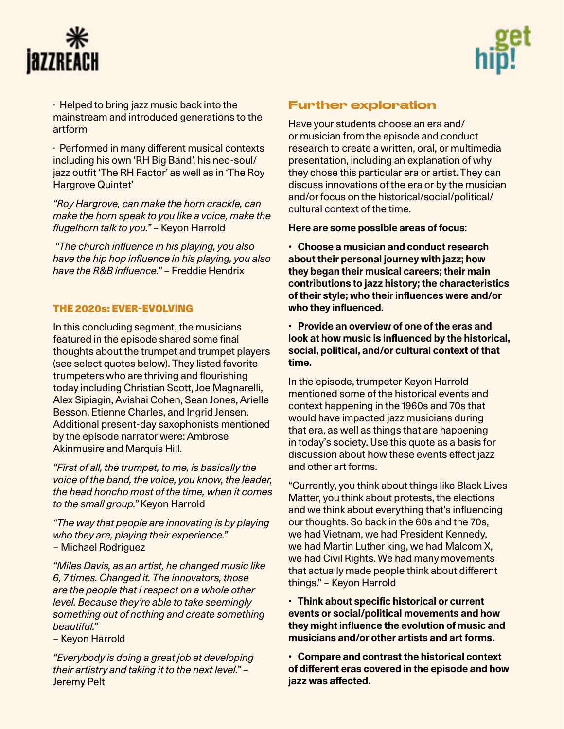



· Helped to bring jazz music back into the mainstream and introduced generations to the artform

· Performed in many different musical contexts including his own 'RH Big Band', his neo-soul/ jazz outfit 'The RH Factor' as well as in 'The Roy Hargrove Quintet'

*"Roy Hargrove, can make the horn crackle, can make the horn speak to you like a voice, make the flugelhorn talk to you."* – Keyon Harrold

*"The church influence in his playing, you also have the hip hop influence in his playing, you also have the R&B influence."* – Freddie Hendrix

# THE 2020s: EVER-EVOLVING

In this concluding segment, the musicians featured in the episode shared some final thoughts about the trumpet and trumpet players (see select quotes below). They listed favorite trumpeters who are thriving and flourishing today including Christian Scott, Joe Magnarelli, Alex Sipiagin, Avishai Cohen, Sean Jones, Arielle Besson, Etienne Charles, and Ingrid Jensen. Additional present-day saxophonists mentioned by the episode narrator were: Ambrose Akinmusire and Marquis Hill.

*"First of all, the trumpet, to me, is basically the voice of the band, the voice, you know, the leader, the head honcho most of the time, when it comes to the small group."* Keyon Harrold

*"The way that people are innovating is by playing who they are, playing their experience."*  – Michael Rodriguez

*"Miles Davis, as an artist, he changed music like 6, 7 times. Changed it. The innovators, those are the people that I respect on a whole other level. Because they're able to take seemingly something out of nothing and create something beautiful."* 

– Keyon Harrold

*"Everybody is doing a great job at developing their artistry and taking it to the next level."* – Jeremy Pelt

# Further exploration

Have your students choose an era and/ or musician from the episode and conduct research to create a written, oral, or multimedia presentation, including an explanation of why they chose this particular era or artist. They can discuss innovations of the era or by the musician and/or focus on the historical/social/political/ cultural context of the time.

**Here are some possible areas of focus**:

**• Choose a musician and conduct research about their personal journey with jazz; how they began their musical careers; their main contributions to jazz history; the characteristics of their style; who their influences were and/or who they influenced.**

**• Provide an overview of one of the eras and look at how music is influenced by the historical, social, political, and/or cultural context of that time.** 

In the episode, trumpeter Keyon Harrold mentioned some of the historical events and context happening in the 1960s and 70s that would have impacted jazz musicians during that era, as well as things that are happening in today's society. Use this quote as a basis for discussion about how these events effect jazz and other art forms.

"Currently, you think about things like Black Lives Matter, you think about protests, the elections and we think about everything that's influencing our thoughts. So back in the 60s and the 70s, we had Vietnam, we had President Kennedy, we had Martin Luther king, we had Malcom X, we had Civil Rights. We had many movements that actually made people think about different things." – Keyon Harrold

**• Think about specific historical or current events or social/political movements and how they might influence the evolution of music and musicians and/or other artists and art forms.**

**• Compare and contrast the historical context of different eras covered in the episode and how jazz was affected.**